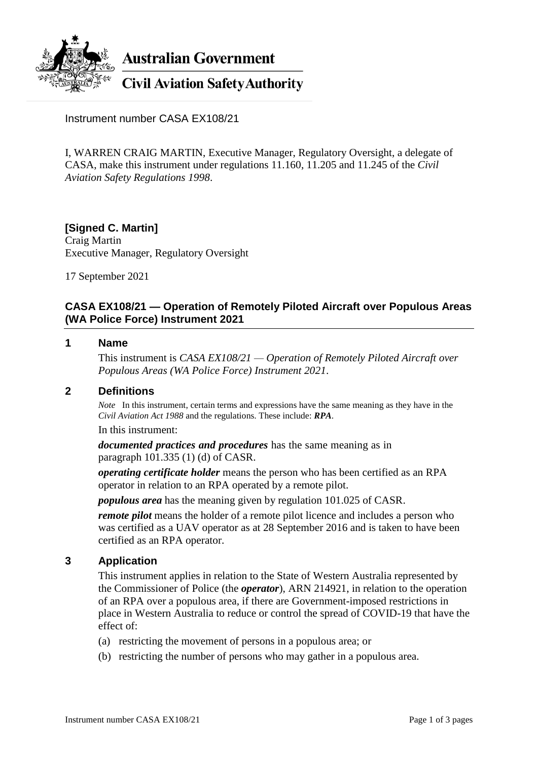

Instrument number CASA EX108/21

I, WARREN CRAIG MARTIN, Executive Manager, Regulatory Oversight, a delegate of CASA, make this instrument under regulations 11.160, 11.205 and 11.245 of the *Civil Aviation Safety Regulations 1998*.

**[Signed C. Martin]** Craig Martin Executive Manager, Regulatory Oversight

17 September 2021

# **CASA EX108/21 — Operation of Remotely Piloted Aircraft over Populous Areas (WA Police Force) Instrument 2021**

### **1 Name**

This instrument is *CASA EX108/21 — Operation of Remotely Piloted Aircraft over Populous Areas (WA Police Force) Instrument 2021*.

# **2 Definitions**

*Note* In this instrument, certain terms and expressions have the same meaning as they have in the *Civil Aviation Act 1988* and the regulations. These include: *RPA*.

In this instrument:

*documented practices and procedures* has the same meaning as in paragraph 101.335 (1) (d) of CASR.

*operating certificate holder* means the person who has been certified as an RPA operator in relation to an RPA operated by a remote pilot.

*populous area* has the meaning given by regulation 101.025 of CASR.

*remote pilot* means the holder of a remote pilot licence and includes a person who was certified as a UAV operator as at 28 September 2016 and is taken to have been certified as an RPA operator.

### **3 Application**

This instrument applies in relation to the State of Western Australia represented by the Commissioner of Police (the *operator*), ARN 214921, in relation to the operation of an RPA over a populous area, if there are Government-imposed restrictions in place in Western Australia to reduce or control the spread of COVID-19 that have the effect of:

- (a) restricting the movement of persons in a populous area; or
- (b) restricting the number of persons who may gather in a populous area.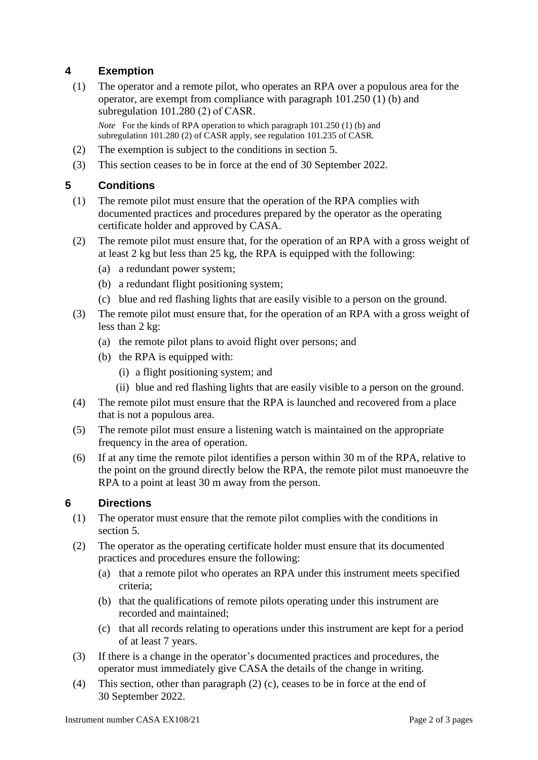# **4 Exemption**

(1) The operator and a remote pilot, who operates an RPA over a populous area for the operator, are exempt from compliance with paragraph 101.250 (1) (b) and subregulation 101.280 (2) of CASR.

*Note* For the kinds of RPA operation to which paragraph 101.250 (1) (b) and subregulation 101.280 (2) of CASR apply, see regulation 101.235 of CASR*.*

- (2) The exemption is subject to the conditions in section 5.
- (3) This section ceases to be in force at the end of 30 September 2022.

# **5 Conditions**

- (1) The remote pilot must ensure that the operation of the RPA complies with documented practices and procedures prepared by the operator as the operating certificate holder and approved by CASA.
- (2) The remote pilot must ensure that, for the operation of an RPA with a gross weight of at least 2 kg but less than 25 kg, the RPA is equipped with the following:
	- (a) a redundant power system;
	- (b) a redundant flight positioning system;
	- (c) blue and red flashing lights that are easily visible to a person on the ground.
- (3) The remote pilot must ensure that, for the operation of an RPA with a gross weight of less than 2 kg:
	- (a) the remote pilot plans to avoid flight over persons; and
	- (b) the RPA is equipped with:
		- (i) a flight positioning system; and
		- (ii) blue and red flashing lights that are easily visible to a person on the ground.
- (4) The remote pilot must ensure that the RPA is launched and recovered from a place that is not a populous area.
- (5) The remote pilot must ensure a listening watch is maintained on the appropriate frequency in the area of operation.
- (6) If at any time the remote pilot identifies a person within 30 m of the RPA, relative to the point on the ground directly below the RPA, the remote pilot must manoeuvre the RPA to a point at least 30 m away from the person.

# **6 Directions**

- (1) The operator must ensure that the remote pilot complies with the conditions in section 5.
- (2) The operator as the operating certificate holder must ensure that its documented practices and procedures ensure the following:
	- (a) that a remote pilot who operates an RPA under this instrument meets specified criteria;
	- (b) that the qualifications of remote pilots operating under this instrument are recorded and maintained;
	- (c) that all records relating to operations under this instrument are kept for a period of at least 7 years.
- (3) If there is a change in the operator's documented practices and procedures, the operator must immediately give CASA the details of the change in writing.
- (4) This section, other than paragraph (2) (c), ceases to be in force at the end of 30 September 2022.